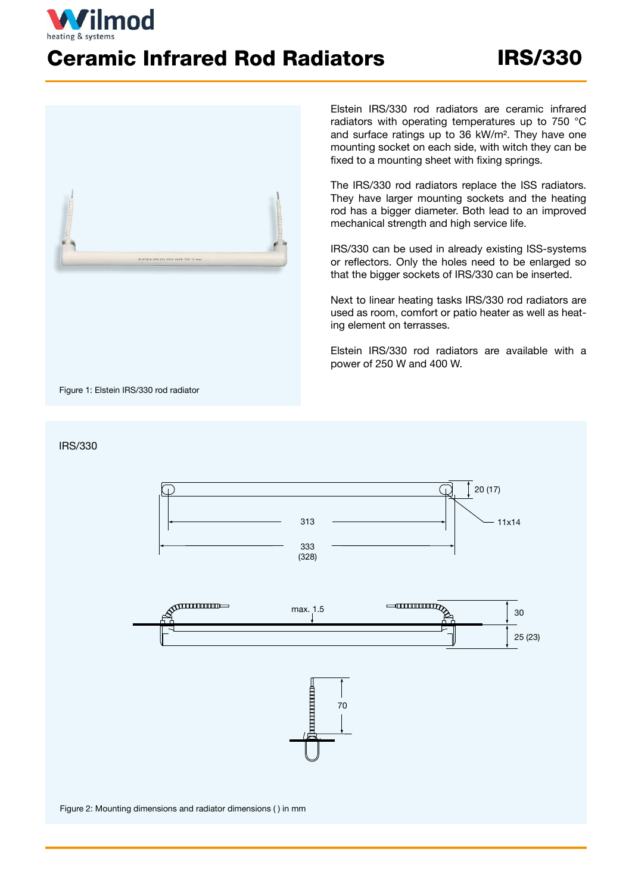## Ceramic Infrared Rod Radiators IRS/330



Elstein IRS/330 rod radiators are ceramic infrared radiators with operating temperatures up to 750 °C and surface ratings up to 36 kW/m². They have one mounting socket on each side, with witch they can be fixed to a mounting sheet with fixing springs.

The IRS/330 rod radiators replace the ISS radiators. They have larger mounting sockets and the heating rod has a bigger diameter. Both lead to an improved mechanical strength and high service life.

IRS/330 can be used in already existing ISS-systems or reflectors. Only the holes need to be enlarged so that the bigger sockets of IRS/330 can be inserted.

Next to linear heating tasks IRS/330 rod radiators are used as room, comfort or patio heater as well as heating element on terrasses.

Elstein IRS/330 rod radiators are available with a power of 250 W and 400 W.

Figure 1: Elstein IRS/330 rod radiator

ilmod

## IRS/330